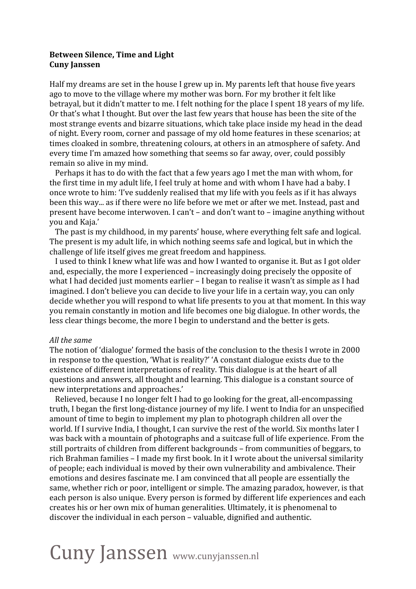## **Between
Silence,
Time
and
Light Cuny
Janssen**

Half my dreams are set in the house I grew up in. My parents left that house five years ago to move to the village where my mother was born. For my brother it felt like betraval, but it didn't matter to me. I felt nothing for the place I spent 18 years of my life. Or that's what I thought. But over the last few years that house has been the site of the most
strange
events
and
bizarre
situations,
which
take
place
inside
my
head
in
the
dead of
night.
Every
room,
corner
and
passage
of
my
old
home
features
in
these
scenarios;
at times cloaked in sombre, threatening colours, at others in an atmosphere of safety. And every
time
I'm
amazed
how
something
that
seems
so
far
away,
over,
could
possibly remain
so
alive
in
my
mind.

Perhaps it has to do with the fact that a few years ago I met the man with whom, for the first time in my adult life, I feel truly at home and with whom I have had a baby. I once wrote to him: 'I've suddenly realised that my life with you feels as if it has always been this way... as if there were no life before we met or after we met. Instead, past and present
have
become
interwoven.
I
can't
– and
don't
want
to
–
imagine
anything
without you
and
Kaja.'

The
past
is
my
childhood,
in
my
parents'
house,
where
everything
felt
safe
and
logical. The
present
is
my
adult
life,
in
which
nothing
seems
safe
and
logical,
but
in
which
the challenge
of
life
itself
gives
me
great
freedom
and
happiness.

I used to think I knew what life was and how I wanted to organise it. But as I got older and,
especially,
the
more
I
experienced
–
increasingly
doing
precisely
the
opposite
of what I had decided just moments earlier – I began to realise it wasn't as simple as I had imagined. I don't believe you can decide to live your life in a certain way, you can only decide whether you will respond to what life presents to you at that moment. In this way you
remain
constantly
in
motion
and
life
becomes
one
big
dialogue.
In
other
words,
the less
clear
things
become,
the
more
I
begin
to
understand
and
the
better
is
gets.

## *All
the
same*

The notion of 'dialogue' formed the basis of the conclusion to the thesis I wrote in 2000 in response to the question, 'What is reality?' 'A constant dialogue exists due to the existence of different interpretations of reality. This dialogue is at the heart of all questions
and
answers,
all
thought
and
learning.
This
dialogue
is
a
constant
source
of new
interpretations
and
approaches.'

Relieved, because I no longer felt I had to go looking for the great, all-encompassing truth, I began the first long-distance journey of my life. I went to India for an unspecified amount
of
time
to
begin
to
implement
my
plan
to
photograph
children
all
over
the world. If I survive India, I thought, I can survive the rest of the world. Six months later I was back with a mountain of photographs and a suitcase full of life experience. From the still
portraits
of
children
from
different
backgrounds
–
from
communities
of
beggars,
to rich
Brahman
families
– I
made
my
first
book.
In
it
I
wrote
about
the
universal
similarity of
people;
each
individual
is
moved
by
their
own
vulnerability
and
ambivalence.
Their emotions
and
desires
fascinate
me.
I
am
convinced
that
all
people
are
essentially
the same, whether rich or poor, intelligent or simple. The amazing paradox, however, is that each person is also unique. Every person is formed by different life experiences and each creates
his
or
her
own
mix
of
human
generalities.
Ultimately,
it
is
phenomenal
to discover
the
individual
in
each
person
–
valuable,
dignified
and
authentic.

## Cuny Janssen www.cunyjanssen.nl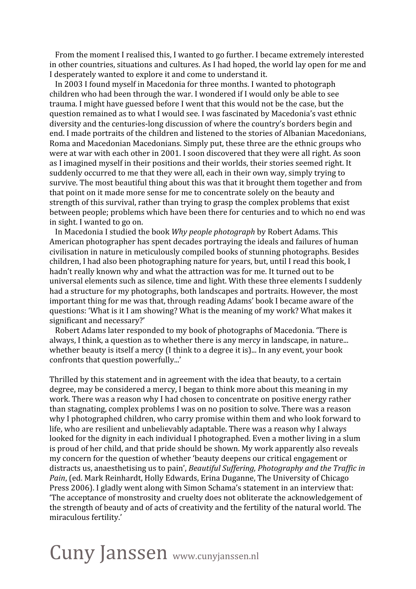From the moment I realised this, I wanted to go further. I became extremely interested in
other
countries,
situations
and
cultures.
As
I
had
hoped,
the
world
lay
open
for
me
and I desperately wanted to explore it and come to understand it.

In
2003
I
found
myself
in
Macedonia
for
three
months.
I
wanted
to
photograph children
who
had
been
through
the
war.
I
wondered
if
I
would
only
be
able
to
see trauma.
I
might
have
guessed
before
I
went
that
this
would
not
be
the
case,
but
the question
remained
as
to
what
I
would
see.
I
was
fascinated
by
Macedonia's
vast
ethnic diversity
and
the
centuries‐long
discussion
of
where
the
country's
borders
begin
and end.
I
made
portraits
of
the
children
and
listened
to
the
stories
of
Albanian
Macedonians, Roma and Macedonian Macedonians. Simply put, these three are the ethnic groups who were at war with each other in 2001. I soon discovered that they were all right. As soon as
I
imagined
myself
in
their
positions
and
their
worlds,
their
stories
seemed
right.
It suddenly occurred to me that they were all, each in their own way, simply trying to survive. The most beautiful thing about this was that it brought them together and from that point on it made more sense for me to concentrate solely on the beauty and strength of this survival, rather than trying to grasp the complex problems that exist between people; problems which have been there for centuries and to which no end was in
sight.
I
wanted
to
go
on.

In Macedonia I studied the book *Why people photograph* by Robert Adams. This American photographer has spent decades portraying the ideals and failures of human civilisation
in
nature
in
meticulously
compiled
books
of
stunning
photographs.
Besides children,
I
had
also
been
photographing
nature
for
years,
but,
until
I
read
this
book,
I hadn't really known why and what the attraction was for me. It turned out to be universal
elements
such
as
silence,
time
and
light.
With
these
three
elements
I
suddenly had a structure for my photographs, both landscapes and portraits. However, the most important
thing
for
me
was
that,
through
reading
Adams'
book
I
became
aware
of
the questions:
'What
is
it
I
am
showing?
What
is
the
meaning
of
my
work?
What
makes
it significant
and
necessary?'

Robert
Adams
later
responded
to
my
book
of
photographs
of
Macedonia.
'There
is always, I think, a question as to whether there is any mercy in landscape, in nature... whether beauty is itself a mercy (I think to a degree it is)... In any event, your book confronts
that
question
powerfully...'

Thrilled
by
this
statement
and
in
agreement
with
the
idea
that
beauty,
to
a
certain degree,
may
be
considered
a
mercy,
I
began
to
think
more
about
this
meaning
in
my work. There was a reason why I had chosen to concentrate on positive energy rather than
stagnating,
complex
problems
I
was
on
no
position
to
solve.
There
was
a
reason why I photographed children, who carry promise within them and who look forward to life, who are resilient and unbelievably adaptable. There was a reason why I always looked for the dignity in each individual I photographed. Even a mother living in a slum is proud of her child, and that pride should be shown. My work apparently also reveals my
concern
for
the
question
of
whether
'beauty
deepens
our
critical
engagement
or distracts us, anaesthetising us to pain', *Beautiful Suffering*, *Photography and the Traffic in* Pain, (ed. Mark Reinhardt, Holly Edwards, Erina Duganne, The University of Chicago Press 2006). I gladly went along with Simon Schama's statement in an interview that: 'The
acceptance
of
monstrosity
and
cruelty
does
not
obliterate
the
acknowledgement
of the
strength
of
beauty
and
of
acts
of
creativity
and
the
fertility
of
the
natural
world.
The miraculous
fertility.'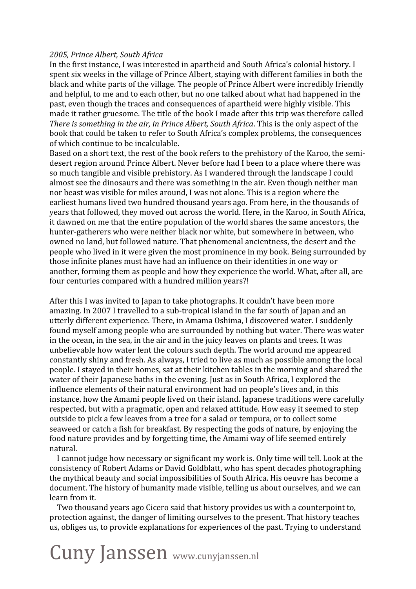## *2005,
Prince
Albert,
South
Africa*

In the first instance, I was interested in apartheid and South Africa's colonial history. I spent six weeks in the village of Prince Albert, staying with different families in both the black
and
white
parts
of
the
village.
The
people
of
Prince
Albert
were
incredibly
friendly and helpful, to me and to each other, but no one talked about what had happened in the past,
even
though
the
traces
and
consequences
of
apartheid
were
highly
visible.
This made it rather gruesome. The title of the book I made after this trip was therefore called There is something in the air, in Prince Albert, South Africa. This is the only aspect of the book
that
could
be
taken
to
refer
to
South
Africa's
complex
problems,
the
consequences of
which
continue
to
be
incalculable.

Based on a short text, the rest of the book refers to the prehistory of the Karoo, the semidesert
region
around
Prince
Albert.
Never
before
had
I
been
to
a
place
where
there
was so much tangible and visible prehistory. As I wandered through the landscape I could almost
see
the
dinosaurs
and
there
was
something
in
the
air.
Even
though
neither
man nor
beast
was
visible
for
miles
around,
I
was
not
alone.
This
is
a
region
where
the earliest humans lived two hundred thousand years ago. From here, in the thousands of years
that
followed,
they
moved
out
across
the
world.
Here,
in
the
Karoo,
in
South
Africa, it
dawned
on
me
that
the
entire
population
of
the
world
shares
the
same
ancestors,
the hunter-gatherers who were neither black nor white, but somewhere in between, who owned
no
land,
but
followed
nature.
That
phenomenal
ancientness,
the
desert
and
the people
who
lived
in
it
were
given
the
most
prominence
in
my
book.
Being
surrounded
by those
infinite
planes
must
have
had
an
influence
on
their
identities
in
one
way
or another,
forming
them
as
people
and
how
they
experience
the
world.
What,
after
all,
are four centuries compared with a hundred million years?!

After
this
I
was
invited
to
Japan
to
take
photographs.
It
couldn't
have
been
more amazing. In 2007 I travelled to a sub-tropical island in the far south of Japan and an utterly
different
experience.
There,
in
Amama
Oshima,
I
discovered
water.
I
suddenly found
myself
among
people
who
are
surrounded
by
nothing
but
water.
There
was
water in the ocean, in the sea, in the air and in the juicy leaves on plants and trees. It was unbelievable
how
water
lent
the
colours
such
depth.
The
world
around
me
appeared constantly
shiny
and
fresh.
As
always,
I
tried
to
live
as
much
as
possible
among
the
local people.
I
stayed
in
their
homes,
sat
at
their
kitchen
tables
in
the
morning
and
shared
the water of their Japanese baths in the evening. Just as in South Africa, I explored the influence
elements
of
their
natural
environment
had
on
people's
lives
and,
in
this instance,
how
the
Amami
people
lived
on
their
island.
Japanese
traditions
were
carefully respected,
but
with
a
pragmatic,
open
and
relaxed
attitude.
How
easy
it
seemed
to
step outside
to
pick
a
few
leaves
from
a
tree
for
a
salad
or
tempura,
or
to
collect
some seaweed
or
catch
a
fish
for
breakfast.
By
respecting
the
gods
of
nature,
by
enjoying
the food
nature
provides
and
by
forgetting
time,
the
Amami
way
of
life
seemed
entirely natural.

I cannot judge how necessary or significant my work is. Only time will tell. Look at the consistency
of
Robert
Adams
or
David
Goldblatt,
who
has
spent
decades
photographing the
mythical
beauty
and
social
impossibilities
of
South
Africa.
His
oeuvre
has
become
a document.
The
history
of
humanity
made
visible,
telling
us
about
ourselves,
and
we
can learn
from
it.

Two
thousand
years
ago
Cicero
said
that
history
provides
us
with
a
counterpoint
to, protection
against,
the
danger
of
limiting
ourselves
to
the
present.
That
history
teaches us,
obliges
us,
to
provide
explanations
for
experiences
of
the
past.
Trying
to
understand

Cuny Janssen www.cunyjanssen.nl